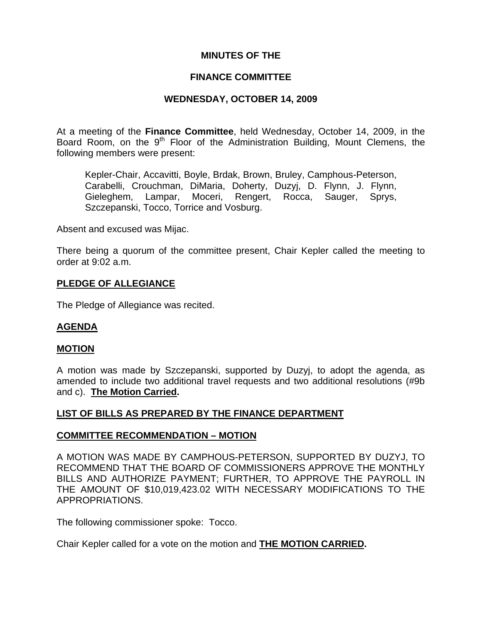# **MINUTES OF THE**

## **FINANCE COMMITTEE**

# **WEDNESDAY, OCTOBER 14, 2009**

At a meeting of the **Finance Committee**, held Wednesday, October 14, 2009, in the Board Room, on the 9<sup>th</sup> Floor of the Administration Building, Mount Clemens, the following members were present:

Kepler-Chair, Accavitti, Boyle, Brdak, Brown, Bruley, Camphous-Peterson, Carabelli, Crouchman, DiMaria, Doherty, Duzyj, D. Flynn, J. Flynn, Gieleghem, Lampar, Moceri, Rengert, Rocca, Sauger, Sprys, Szczepanski, Tocco, Torrice and Vosburg.

Absent and excused was Mijac.

There being a quorum of the committee present, Chair Kepler called the meeting to order at 9:02 a.m.

## **PLEDGE OF ALLEGIANCE**

The Pledge of Allegiance was recited.

#### **AGENDA**

#### **MOTION**

A motion was made by Szczepanski, supported by Duzyj, to adopt the agenda, as amended to include two additional travel requests and two additional resolutions (#9b and c). **The Motion Carried.** 

#### **LIST OF BILLS AS PREPARED BY THE FINANCE DEPARTMENT**

#### **COMMITTEE RECOMMENDATION – MOTION**

A MOTION WAS MADE BY CAMPHOUS-PETERSON, SUPPORTED BY DUZYJ, TO RECOMMEND THAT THE BOARD OF COMMISSIONERS APPROVE THE MONTHLY BILLS AND AUTHORIZE PAYMENT; FURTHER, TO APPROVE THE PAYROLL IN THE AMOUNT OF \$10,019,423.02 WITH NECESSARY MODIFICATIONS TO THE APPROPRIATIONS.

The following commissioner spoke: Tocco.

Chair Kepler called for a vote on the motion and **THE MOTION CARRIED.**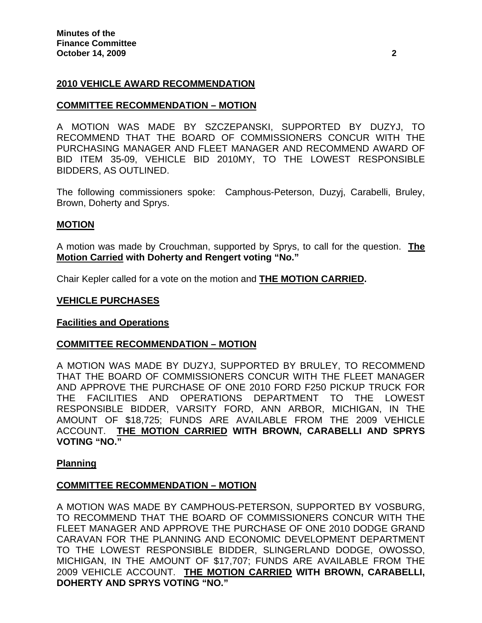## **2010 VEHICLE AWARD RECOMMENDATION**

#### **COMMITTEE RECOMMENDATION – MOTION**

A MOTION WAS MADE BY SZCZEPANSKI, SUPPORTED BY DUZYJ, TO RECOMMEND THAT THE BOARD OF COMMISSIONERS CONCUR WITH THE PURCHASING MANAGER AND FLEET MANAGER AND RECOMMEND AWARD OF BID ITEM 35-09, VEHICLE BID 2010MY, TO THE LOWEST RESPONSIBLE BIDDERS, AS OUTLINED.

The following commissioners spoke: Camphous-Peterson, Duzyj, Carabelli, Bruley, Brown, Doherty and Sprys.

#### **MOTION**

A motion was made by Crouchman, supported by Sprys, to call for the question. **The Motion Carried with Doherty and Rengert voting "No."** 

Chair Kepler called for a vote on the motion and **THE MOTION CARRIED.** 

#### **VEHICLE PURCHASES**

#### **Facilities and Operations**

#### **COMMITTEE RECOMMENDATION – MOTION**

A MOTION WAS MADE BY DUZYJ, SUPPORTED BY BRULEY, TO RECOMMEND THAT THE BOARD OF COMMISSIONERS CONCUR WITH THE FLEET MANAGER AND APPROVE THE PURCHASE OF ONE 2010 FORD F250 PICKUP TRUCK FOR THE FACILITIES AND OPERATIONS DEPARTMENT TO THE LOWEST RESPONSIBLE BIDDER, VARSITY FORD, ANN ARBOR, MICHIGAN, IN THE AMOUNT OF \$18,725; FUNDS ARE AVAILABLE FROM THE 2009 VEHICLE ACCOUNT. **THE MOTION CARRIED WITH BROWN, CARABELLI AND SPRYS VOTING "NO."** 

#### **Planning**

#### **COMMITTEE RECOMMENDATION – MOTION**

A MOTION WAS MADE BY CAMPHOUS-PETERSON, SUPPORTED BY VOSBURG, TO RECOMMEND THAT THE BOARD OF COMMISSIONERS CONCUR WITH THE FLEET MANAGER AND APPROVE THE PURCHASE OF ONE 2010 DODGE GRAND CARAVAN FOR THE PLANNING AND ECONOMIC DEVELOPMENT DEPARTMENT TO THE LOWEST RESPONSIBLE BIDDER, SLINGERLAND DODGE, OWOSSO, MICHIGAN, IN THE AMOUNT OF \$17,707; FUNDS ARE AVAILABLE FROM THE 2009 VEHICLE ACCOUNT. **THE MOTION CARRIED WITH BROWN, CARABELLI, DOHERTY AND SPRYS VOTING "NO."**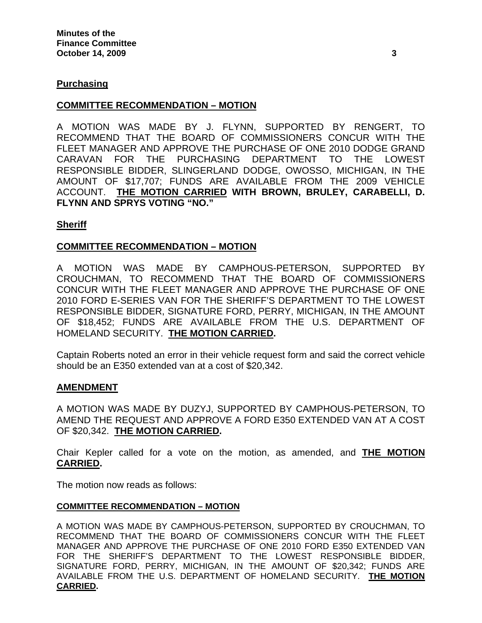#### **Purchasing**

#### **COMMITTEE RECOMMENDATION – MOTION**

A MOTION WAS MADE BY J. FLYNN, SUPPORTED BY RENGERT, TO RECOMMEND THAT THE BOARD OF COMMISSIONERS CONCUR WITH THE FLEET MANAGER AND APPROVE THE PURCHASE OF ONE 2010 DODGE GRAND CARAVAN FOR THE PURCHASING DEPARTMENT TO THE LOWEST RESPONSIBLE BIDDER, SLINGERLAND DODGE, OWOSSO, MICHIGAN, IN THE AMOUNT OF \$17,707; FUNDS ARE AVAILABLE FROM THE 2009 VEHICLE ACCOUNT. **THE MOTION CARRIED WITH BROWN, BRULEY, CARABELLI, D. FLYNN AND SPRYS VOTING "NO."** 

#### **Sheriff**

## **COMMITTEE RECOMMENDATION – MOTION**

A MOTION WAS MADE BY CAMPHOUS-PETERSON, SUPPORTED BY CROUCHMAN, TO RECOMMEND THAT THE BOARD OF COMMISSIONERS CONCUR WITH THE FLEET MANAGER AND APPROVE THE PURCHASE OF ONE 2010 FORD E-SERIES VAN FOR THE SHERIFF'S DEPARTMENT TO THE LOWEST RESPONSIBLE BIDDER, SIGNATURE FORD, PERRY, MICHIGAN, IN THE AMOUNT OF \$18,452; FUNDS ARE AVAILABLE FROM THE U.S. DEPARTMENT OF HOMELAND SECURITY. **THE MOTION CARRIED.** 

Captain Roberts noted an error in their vehicle request form and said the correct vehicle should be an E350 extended van at a cost of \$20,342.

#### **AMENDMENT**

A MOTION WAS MADE BY DUZYJ, SUPPORTED BY CAMPHOUS-PETERSON, TO AMEND THE REQUEST AND APPROVE A FORD E350 EXTENDED VAN AT A COST OF \$20,342. **THE MOTION CARRIED.** 

Chair Kepler called for a vote on the motion, as amended, and **THE MOTION CARRIED.** 

The motion now reads as follows:

#### **COMMITTEE RECOMMENDATION – MOTION**

A MOTION WAS MADE BY CAMPHOUS-PETERSON, SUPPORTED BY CROUCHMAN, TO RECOMMEND THAT THE BOARD OF COMMISSIONERS CONCUR WITH THE FLEET MANAGER AND APPROVE THE PURCHASE OF ONE 2010 FORD E350 EXTENDED VAN FOR THE SHERIFF'S DEPARTMENT TO THE LOWEST RESPONSIBLE BIDDER, SIGNATURE FORD, PERRY, MICHIGAN, IN THE AMOUNT OF \$20,342; FUNDS ARE AVAILABLE FROM THE U.S. DEPARTMENT OF HOMELAND SECURITY. **THE MOTION CARRIED.**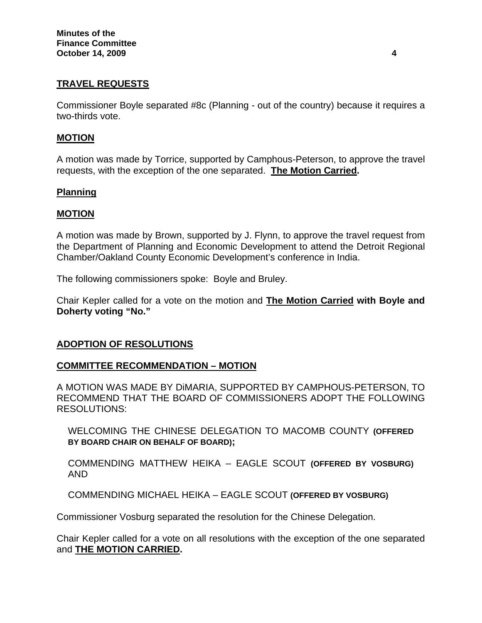# **TRAVEL REQUESTS**

Commissioner Boyle separated #8c (Planning - out of the country) because it requires a two-thirds vote.

#### **MOTION**

A motion was made by Torrice, supported by Camphous-Peterson, to approve the travel requests, with the exception of the one separated. **The Motion Carried.**

## **Planning**

## **MOTION**

A motion was made by Brown, supported by J. Flynn, to approve the travel request from the Department of Planning and Economic Development to attend the Detroit Regional Chamber/Oakland County Economic Development's conference in India.

The following commissioners spoke: Boyle and Bruley.

Chair Kepler called for a vote on the motion and **The Motion Carried with Boyle and Doherty voting "No."** 

#### **ADOPTION OF RESOLUTIONS**

#### **COMMITTEE RECOMMENDATION – MOTION**

A MOTION WAS MADE BY DiMARIA, SUPPORTED BY CAMPHOUS-PETERSON, TO RECOMMEND THAT THE BOARD OF COMMISSIONERS ADOPT THE FOLLOWING RESOLUTIONS:

WELCOMING THE CHINESE DELEGATION TO MACOMB COUNTY **(OFFERED BY BOARD CHAIR ON BEHALF OF BOARD);** 

COMMENDING MATTHEW HEIKA – EAGLE SCOUT **(OFFERED BY VOSBURG)**  AND

COMMENDING MICHAEL HEIKA – EAGLE SCOUT **(OFFERED BY VOSBURG)**

Commissioner Vosburg separated the resolution for the Chinese Delegation.

Chair Kepler called for a vote on all resolutions with the exception of the one separated and **THE MOTION CARRIED.**